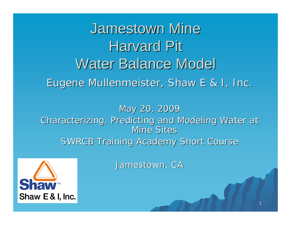Jamestown Mine Harvard Pit Water Balance Model Eugene Mullenmeister, Shaw E & I, Inc.

May 20, 2009 Characterizing, Predicting and Modeling Water at Characterizing, Predicting and Modeling Water at Mine Sites SWRCB Training Academy Short Course



Jamestown, CA Jamestown, CA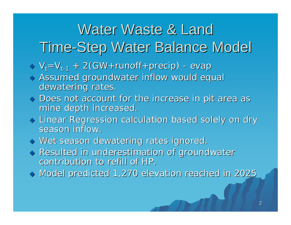## Water Waste & Land Time-Step Water Balance Model

 $\Diamond \vee_i = \vee_{t-1} + 2(GW + runoff + precip)$ - evap

 $\Diamond$  Assumed groundwater inflow would equal dewatering rates.

- $\blacklozenge$  Does not account for the increase in pit area as mine depth increased.
- $\blacklozenge$  Linear Regression calculation based solely on dry  $\blacktriangleright$ season inflow.
- $\blacklozenge$  Wet season dewatering rates ignored.
- $\blacklozenge$  Resulted in underestimation of groundwater contribution to refill of HP.
- $\blacklozenge$  Model predicted 1,270 elevation reached in 2025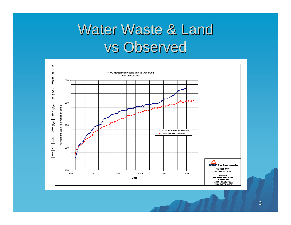### Water Waste & Land vs Observed

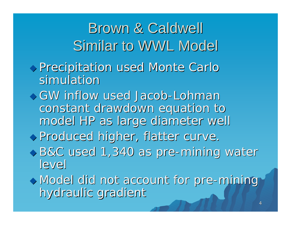4 Precipitation used Monte Carlo Precipitation used Monte Carlo simulatior GW inflow used Jacob-Lohman constant drawdown equation to model HP as large diameter well model HP as large diameter well Produced higher, flatter curve. Produced higher, flatter curve. B&C used 1,340 as pre-mining water level  $\rightarrow$  Model did not account for pre-mining hydraulic gradient Brown & Caldwell Brown & Caldwell Similar to WWL Model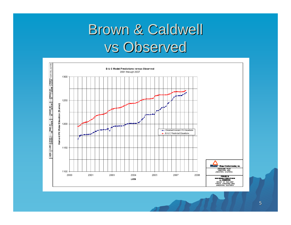# Brown & Caldwell vs Observed

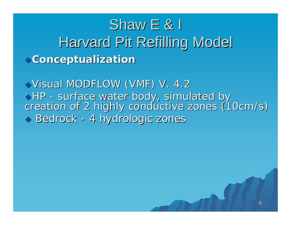### **Conceptualization Conceptualization** Shaw  $E \& I$ Harvard Pit Refilling Model

Visual MODFLOW (VMF) V. 4.2 HP - surface water body, simulated by surface water body, simulated by creation of 2 highly conductive zones (10cm/s)  $\blacklozenge$  Bedrock - 4 hydrologic zones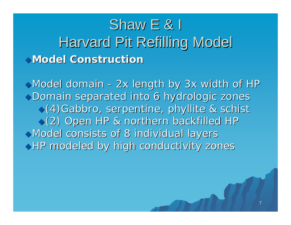### **Model Construction Model Construction**Shaw  $E \& I$ Harvard Pit Refilling Model

 $\rightarrow$  Model domain - 2x length by 3x width of HP Domain separated into 6 hydrologic zones Domain separated into 6 hydrologic zones (4)Gabbro, serpentine, phyllite & schist (4)Gabbro, serpentine, phyllite & schist (2) Open HP & northern backfilled HP (2) Open HP & northern backfilled HP Model consists of 8 individual layers Model consists of 8 individual layers  $\rightarrow$  HP modeled by high conductivity zones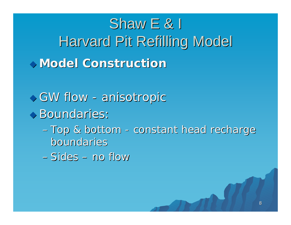# **Model Construction Model Construction**Shaw  $E$  & I Harvard Pit Refilling Model

- $\bullet$  GW flow anisotropic
- Boundaries:
	- Top & bottom constant head recharge boundaries boundaries

8

–Sides – no flow no flow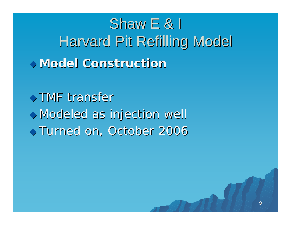**Model Construction Model Construction**Shaw  $E$  & I Harvard Pit Refilling Model

 $\rightarrow$  TMF transfer Modeled as injection well Modeled as injection well  $\blacktriangleright$  Turned on, October 2006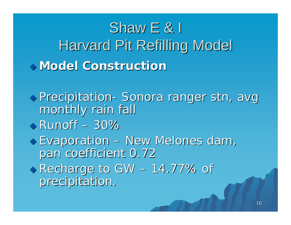# **Model Construction Model Construction**Shaw  $E \& I$ Harvard Pit Refilling Model

Precipitation- Sonora ranger stn, avg monthly rain fall  $\blacktriangleright$  Runoff – 30%  $\triangledown$  Evaporation – New Melones dam, pan coefficient 0.72  $\blacktriangleright$  Recharge to GW – 14.77% of precipitation.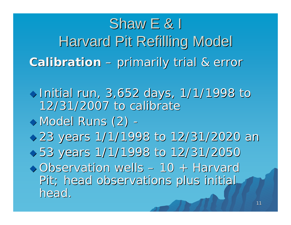Calibration – primarily trial & error Shaw  $E$  & I Harvard Pit Refilling Model

 $\bullet$  Initial run, 3,652 days, 1/1/1998 to 12/31/2007 to calibrate 12/31/2007 to calibrate  $\blacklozenge$  Model Runs  $(2)$  - 23 years 1/1/1998 to 12/31/2020 an 23 years 1/1/1998 to 12/31/2020 an  $\rightarrow$  53 years 1/1/1998 to 12/31/2050  $\rightarrow$  Observation wells – 10 + Harvard Pit; head observations plus initial Pit; head observations plus initial head.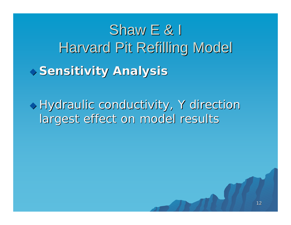# **Sensitivity Analysis Sensitivity Analysis** Shaw  $E \& I$ Harvard Pit Refilling Model

 $\triangledown$  Hydraulic conductivity, Y direction largest effect on model results

![](_page_11_Picture_2.jpeg)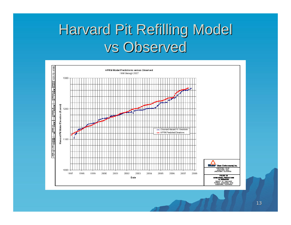# Harvard Pit Refilling Model vs Observed

![](_page_12_Figure_1.jpeg)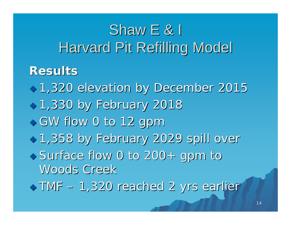# Shaw  $E \& I$ Harvard Pit Refilling Model

#### **Results Results**

 1,320 elevation by December 2015 1,320 elevation by December 2015 1,330 by February 2018 1,330 by February 2018  $\rightarrow$  GW flow 0 to 12 gpm 1,358 by February 2029 spill over 1,358 by February 2029 spill over ◆ Surface flow 0 to 200+ gpm to Woods Creek

TMF – 1,320 reached 2 yrs earlier 1,320 reached 2 yrs earlier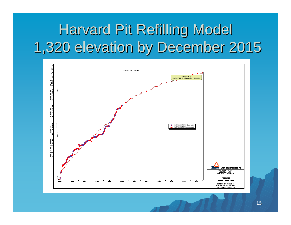# Harvard Pit Refilling Model 1,320 elevation by December 2015 1,320 elevation by December 2015

![](_page_14_Figure_1.jpeg)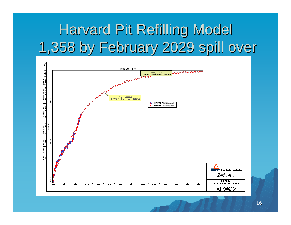# Harvard Pit Refilling Model 1,358 by February 2029 spill over 1,358 by February 2029 spill over

![](_page_15_Figure_1.jpeg)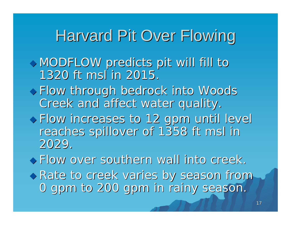### Harvard Pit Over Flowing

- MODFLOW predicts pit will fill to MODFLOW predicts pit will fill to 1320 ft msl in 2015.
- Flow through bedrock into Woods Flow through bedrock into Woods Creek and affect water quality. Creek and affect water quality.
- Flow increases to 12 gpm until level Flow increases to 12 gpm until level reaches spillover of 1358 ft msl in reaches spillover of 1358 ft msl in 2029.

Flow over southern wall into creek. Flow over southern wall into creek.

 Rate to creek varies by season from Rate to creek varies by season from 0 gpm to 200 gpm in rainy season. 0 gpm to 200 gpm in rainy season.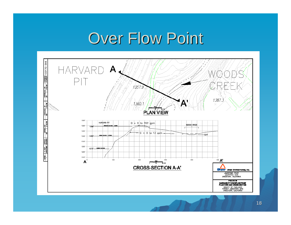# Over Flow Point

![](_page_17_Figure_1.jpeg)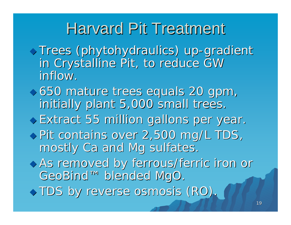### Harvard Pit Treatment

- ◆ Trees (phytohydraulics) up-gradient in Crystalline Pit, to reduce GW inflow.
- 650 mature trees equals 20 gpm, 650 mature trees equals 20 gpm, initially plant 5,000 small trees.
- Extract 55 million gallons per year. Extract 55 million gallons per year.
- ◆ Pit contains over 2,500 mg/L TDS, mostly Ca and Mg sulfates.
- As removed by ferrous/ferric iron or As removed by ferrous/ferric iron or GeoBind™ blended MgO. GeoBind™ blended MgO.
- $\blacklozenge$  TDS by reverse osmosis (RO).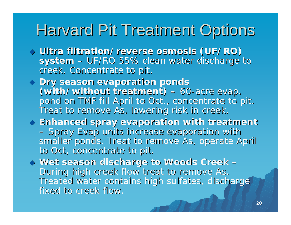### Harvard Pit Treatment Options

- $\lozenge$  Ultra filtration/reverse osmosis (UF/RO) **system**   $-$  UF/RO 55% clean water discharge to  $\,$ creek. Concentrate to pit.
- $\lozenge$  Dry season evaporation ponds (with/without treatment) **– 60-acre evap.** pond on TMF fill April to Oct., concentrate to pit. Treat to remove As, lowering risk in creek.
- $\blacklozenge$  Enhanced spray evaporation with treatment – Spray Evap units increase evaporation with smaller ponds. Treat to remove As, operate April to Oct, concentrate to pit.

 **Wet season discharge to Woods Creek Wet season discharge to Woods Creek –** During high creek flow treat to remove As. During high creek flow treat to remove As. Treated water contains high sulfates, discharge fixed to creek flow.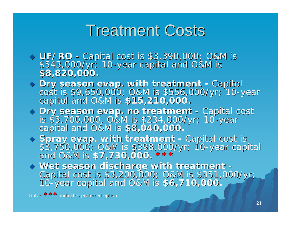### **Treatment Costs**

- **UF/RO**  *-*UF/RO - Capital cost is \$3,390,000; O&M is<br>\$543,000/yr; 10-year capital and O&M is -year capital and O&M is year capital and O&M is **\$8,820,000. \$8,820,000.**
- $\lozenge$  Dry season evap. with treatment **-**Dry season evap. with treatment - Capitol<br>cost is \$9,650,000; O&M is \$556,000/yr; 10-y cost is \$9,650,000; O&M is \$556,000/yr; 10-year<br>capitol and O&M is \$15,**210,000.**
- **Dry season evap. no treatment Dry season evap. no treatment -**Dry season evap. no treatment - Capital cost<br>is \$5,700,000, O&M is \$234,000/yr; 10-year ls \$5,700,000, O&M is \$234,000/yr; 10-year<br>capital and O&M is \$8,040,000.

 $\blacklozenge$  Spray evap. with treatment **-**Spray evap. with treatment - Capital cost is<br>\$3,750,000; O&M is \$398,000/yr; 10-year capi \$3,750,000; O&M is \$398,000/yr; 10-year capital<br>and O&M is \$7,730,000. \*\*\*

 **Wet season discharge with treatment Wet season discharge with treatment -** Capital cost is \$3,200,000; O&M is \$351,000/yr; 0-year capital and O&M is \$6,710,000.

Note: **\*\*\*** indicates preferred option